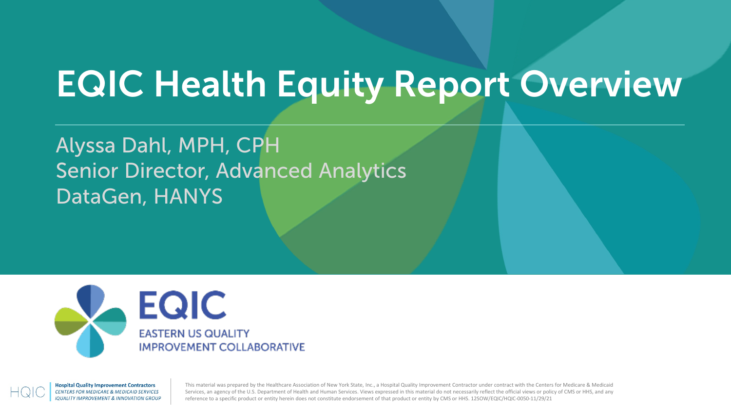### EQIC Health Equity Report Overview

### Alyssa Dahl, MPH, CPH Senior Director, Advanced Analytics DataGen, HANYS





This material was prepared by the Healthcare Association of New York State, Inc., a Hospital Quality Improvement Contractor under contract with the Centers for Medicare & Medicaid Services, an agency of the U.S. Department of Health and Human Services. Views expressed in this material do not necessarily reflect the official views or policy of CMS or HHS, and any reference to a specific product or entity herein does not constitute endorsement of that product or entity by CMS or HHS. 12SOW/EQIC/HQIC-0050-11/29/21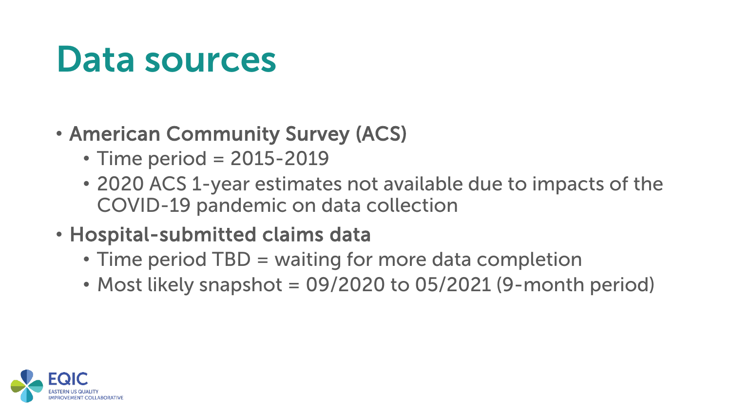### Data sources

### • American Community Survey (ACS)

- Time period = 2015-2019
- 2020 ACS 1-year estimates not available due to impacts of the COVID-19 pandemic on data collection
- Hospital-submitted claims data
	- Time period TBD = waiting for more data completion
	- Most likely snapshot  $= 09/2020$  to 05/2021 (9-month period)

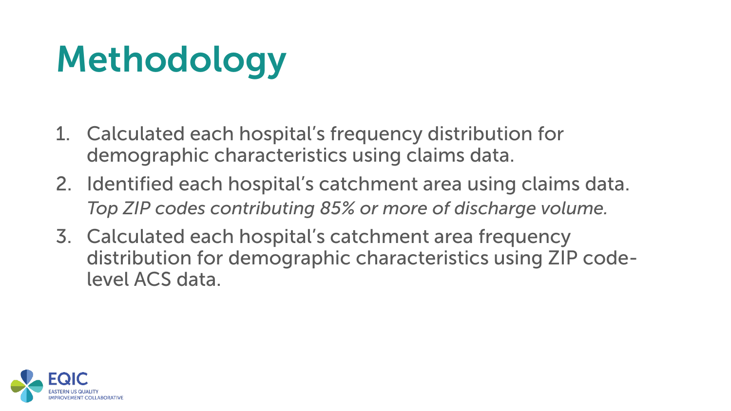## Methodology

- 1. Calculated each hospital's frequency distribution for demographic characteristics using claims data.
- 2. Identified each hospital's catchment area using claims data. *Top ZIP codes contributing 85% or more of discharge volume.*
- 3. Calculated each hospital's catchment area frequency distribution for demographic characteristics using ZIP codelevel ACS data.

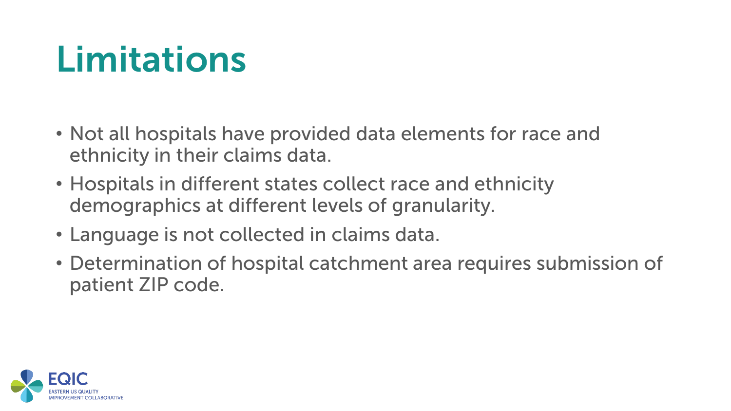### Limitations

- Not all hospitals have provided data elements for race and ethnicity in their claims data.
- Hospitals in different states collect race and ethnicity demographics at different levels of granularity.
- Language is not collected in claims data.
- Determination of hospital catchment area requires submission of patient ZIP code.

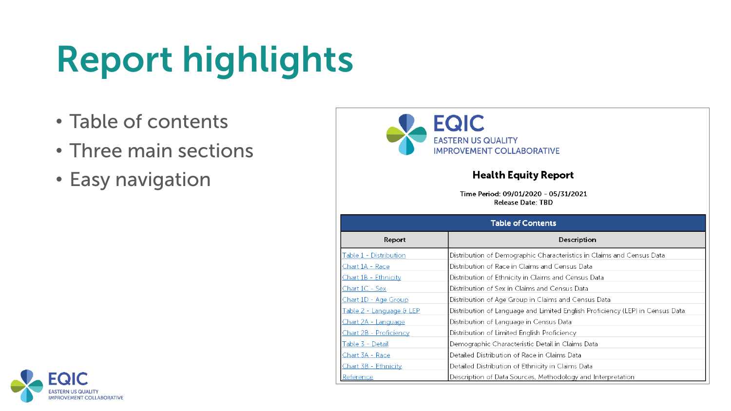- Table of contents
- Three main sections
- Easy navigation



#### **Health Equity Report**

Time Period: 09/01/2020 - 05/31/2021 **Release Date: TBD** 

|                                      | <b>Table of Contents</b>                                                      |
|--------------------------------------|-------------------------------------------------------------------------------|
| Report                               | Description                                                                   |
| Table 1 - Distribution               | Distribution of Demographic Characteristics in Claims and Census Data         |
| <u> Chart 1A - Race</u>              | Distribution of Race in Claims and Census Data                                |
| Chart 1B - Ethnicity                 | Distribution of Ethnicity in Claims and Census Data                           |
| Chart 1C - Sex                       | Distribution of Sex in Claims and Census Data                                 |
| Chart 1D - Age Group                 | Distribution of Age Group in Claims and Census Data                           |
| <u> Table 2 - Language &amp; LEP</u> | Distribution of Language and Limited English Proficiency (LEP) in Census Data |
| Chart 2A - Language                  | Distribution of Language in Census Data                                       |
| Chart 2B - Proficiency               | Distribution of Limited English Proficiency                                   |
| Table 3 - Detail                     | Demographic Characteristic Detail in Claims Data                              |
| Chart 3A - Race                      | Detailed Distribution of Race in Claims Data                                  |
| Chart 3B - Ethnicity                 | Detailed Distribution of Ethnicity in Claims Data                             |
| Reference                            | Description of Data Sources, Methodology and Interpretation                   |

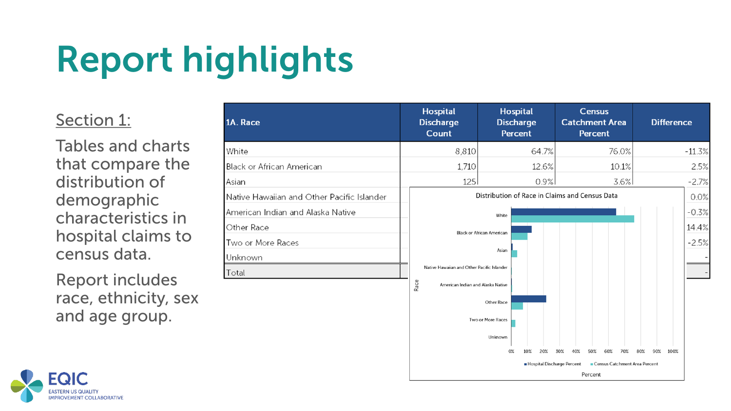### Section 1:

Tables and charts that compare the distribution of demographic characteristics in hospital claims to census data.

Report includes race, ethnicity, sex and age group.

| 1A. Race                                   | <b>Hospital</b><br><b>Discharge</b><br><b>Count</b> |                                                | <b>Hospital</b><br><b>Discharge</b><br><b>Percent</b> |            | <b>Catchment Area</b>             | <b>Census</b><br><b>Percent</b> |                                      |       |     |     | <b>Difference</b> |          |
|--------------------------------------------|-----------------------------------------------------|------------------------------------------------|-------------------------------------------------------|------------|-----------------------------------|---------------------------------|--------------------------------------|-------|-----|-----|-------------------|----------|
| White                                      | 8,810                                               |                                                |                                                       | 64.7%      |                                   |                                 |                                      | 76.0% |     |     |                   | $-11.3%$ |
| Black or African American                  | 1,710                                               |                                                |                                                       | 12.6%      |                                   |                                 |                                      | 10.1% |     |     |                   | 2.5%     |
| Asian                                      | 125                                                 |                                                |                                                       | 0.9%       |                                   |                                 |                                      | 3.6%  |     |     |                   | $-2.7%$  |
| Native Hawaiian and Other Pacific Islander |                                                     | Distribution of Race in Claims and Census Data |                                                       |            |                                   |                                 |                                      |       |     |     |                   | 0.0%     |
| American Indian and Alaska Native          |                                                     | White                                          |                                                       |            |                                   |                                 |                                      |       |     |     |                   | $-0.3%$  |
| Other Race                                 | <b>Black or African American</b>                    |                                                |                                                       |            |                                   |                                 |                                      | 14.4% |     |     |                   |          |
| Two or More Races                          |                                                     |                                                |                                                       |            |                                   |                                 |                                      |       |     |     |                   | $-2.5%$  |
| Unknown                                    |                                                     | Asian                                          |                                                       |            |                                   |                                 |                                      |       |     |     |                   |          |
| Total                                      | Native Hawaiian and Other Pacific Islander          |                                                |                                                       |            |                                   |                                 |                                      |       |     |     |                   |          |
|                                            | Race<br>American Indian and Alaska Native           |                                                |                                                       |            |                                   |                                 |                                      |       |     |     |                   |          |
|                                            |                                                     | Other Race                                     |                                                       |            |                                   |                                 |                                      |       |     |     |                   |          |
|                                            |                                                     | Two or More Races                              |                                                       |            |                                   |                                 |                                      |       |     |     |                   |          |
|                                            |                                                     | Unknown                                        |                                                       |            |                                   |                                 |                                      |       |     |     |                   |          |
|                                            |                                                     | 0%                                             | 10%                                                   | 20%<br>30% | 40%<br>Hospital Discharge Percent | 50%<br>Percent                  | 60%<br>Census Catchment Area Percent | 70%   | 80% | 90% | 100%              |          |

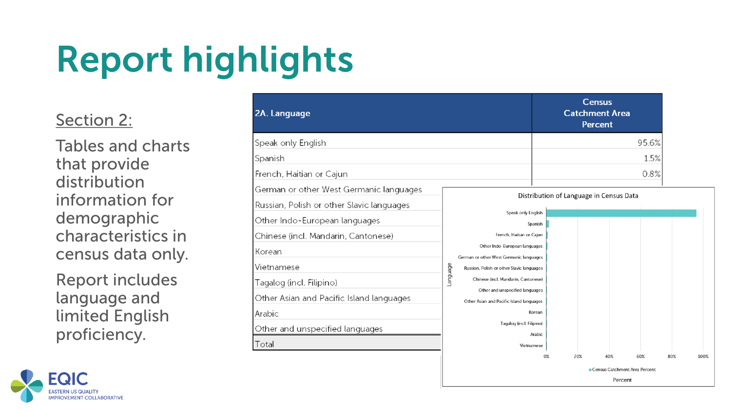### Section 2:

Tables and charts that provide distribution information for demographic characteristics in census data only.

Report includes language and limited English proficiency.



**EASTERN US QUALITY IMPROVEMENT COLLABORATIVE**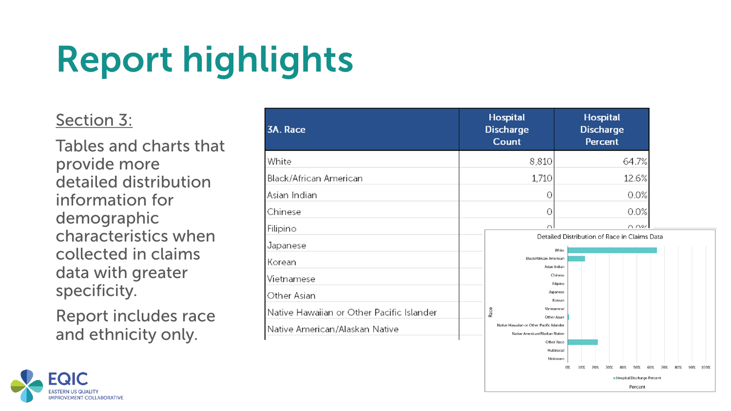#### Section 3:

Tables and charts that provide more detailed distribution information for demographic characteristics when collected in claims data with greater specificity.

Report includes race and ethnicity only.

| <b>3A. Race</b>                           | <b>Hospital</b><br><b>Discharge</b><br><b>Count</b>                         | <b>Hospital</b><br><b>Discharge</b><br><b>Percent</b> |
|-------------------------------------------|-----------------------------------------------------------------------------|-------------------------------------------------------|
| White                                     | 8,810                                                                       | 64.7%                                                 |
| Black/African American                    | 1,710                                                                       | 12.6%                                                 |
| Asian Indian                              |                                                                             | 0.0%                                                  |
| Chinese                                   | 0                                                                           | 0.0%                                                  |
| Filipino                                  | $\cap$                                                                      | $\cap$ $\cap$ %                                       |
| Japanese                                  |                                                                             | Detailed Distribution of Race in Claims Data<br>White |
| {orean                                    | Black/African American                                                      | Asian Indian                                          |
| Vietnamese                                |                                                                             | Chinese                                               |
| Other Asian                               |                                                                             | Filipino<br>Japanese                                  |
| Native Hawaiian or Other Pacific Islander | Race                                                                        | Korean<br>Vietnamese                                  |
| Native American/Alaskan Native            | Native Hawaiian or Other Pacific Islander<br>Native American/Alaskan Native | Other Asian                                           |
|                                           |                                                                             | Other Race<br>Multiracial                             |
|                                           |                                                                             |                                                       |

Hospital Discharge Percent Percent

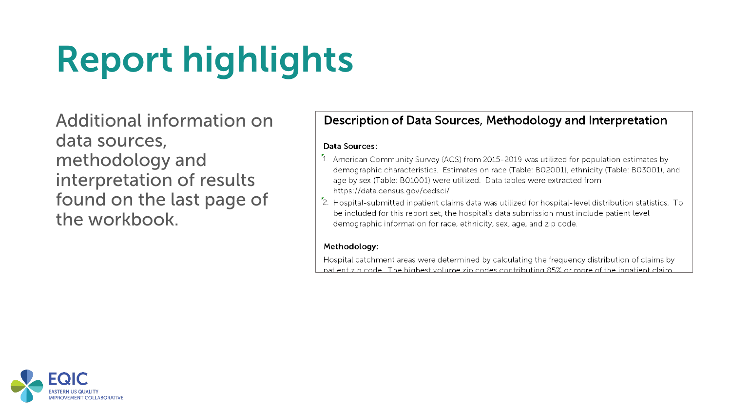Additional information on data sources, methodology and interpretation of results found on the last page of the workbook.

#### Description of Data Sources, Methodology and Interpretation

#### Data Sources:

- <sup>7</sup>1. American Community Survey (ACS) from 2015-2019 was utilized for population estimates by demographic characteristics. Estimates on race (Table: B02001), ethnicity (Table: B03001), and age by sex (Table: B01001) were utilized. Data tables were extracted from https://data.census.gov/cedsci/
- <sup>7</sup>2. Hospital-submitted inpatient claims data was utilized for hospital-level distribution statistics. To be included for this report set, the hospital's data submission must include patient level demographic information for race, ethnicity, sex, age, and zip code.

#### Methodology:

Hospital catchment areas were determined by calculating the frequency distribution of claims by patient zip code. The highest volume zip codes contributing 85% or more of the inpatient claim